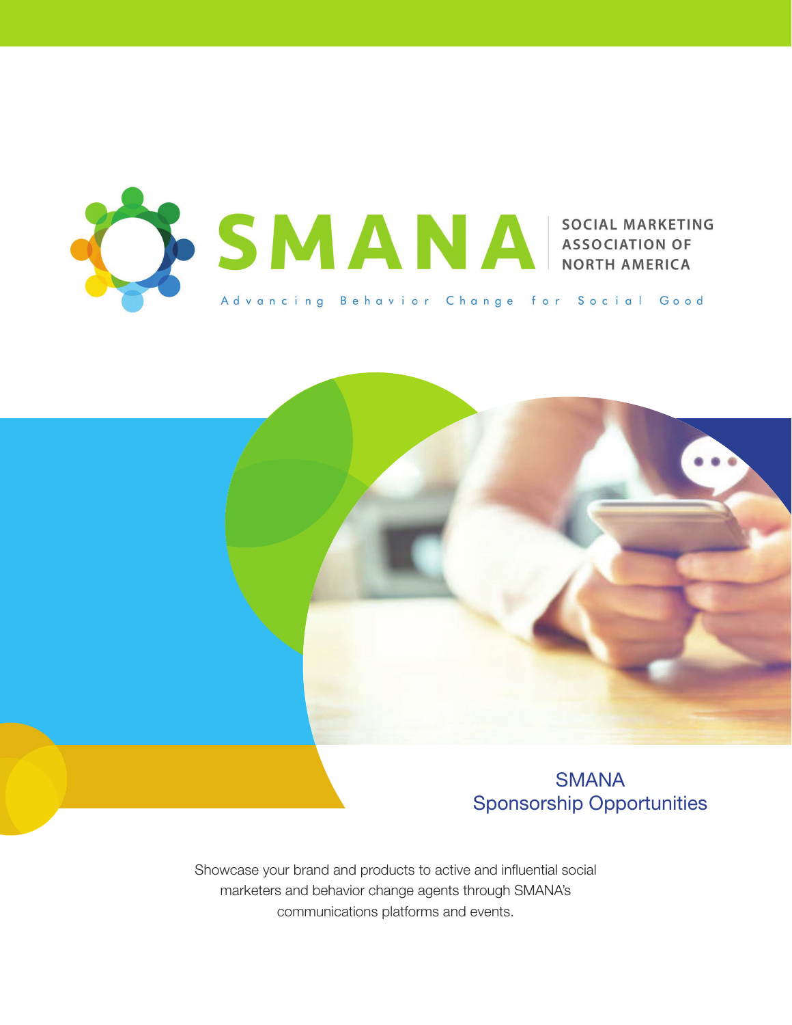



Showcase your brand and products to active and influential social marketers and behavior change agents through SMANA's communications platforms and events.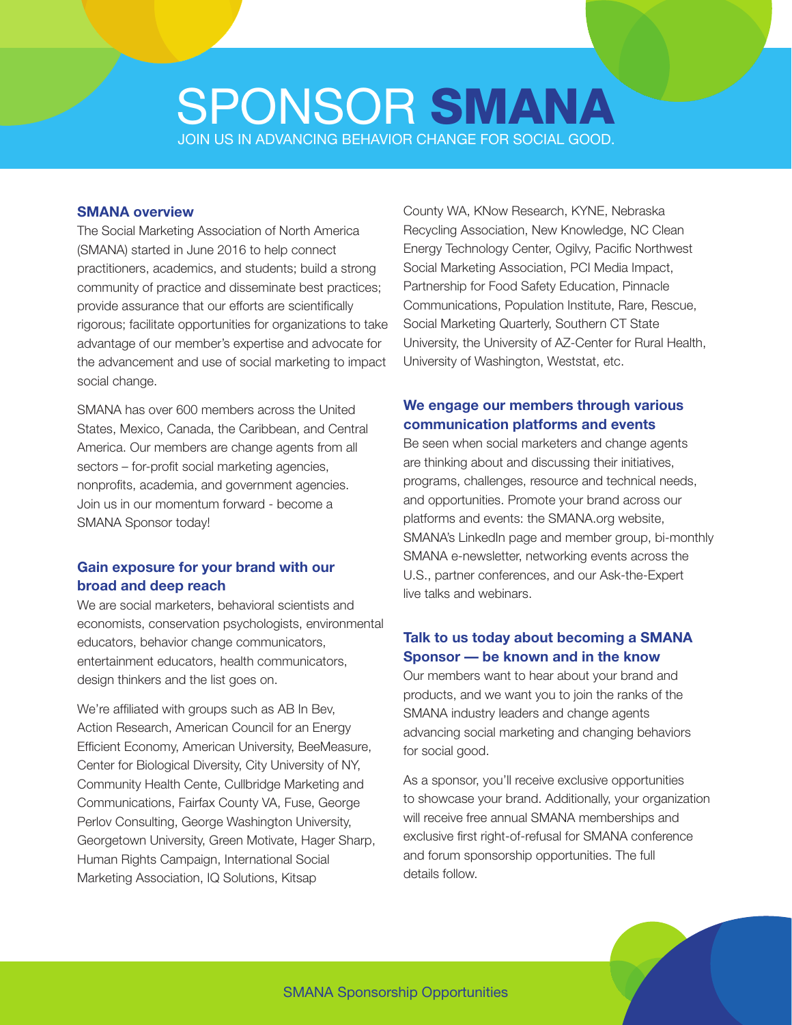# JOIN US IN ADVANCING BEHAVIOR CHANGE FOR SOCIAL GOOD. SPONSOR SMANA

#### **SMANA overview**

The Social Marketing Association of North America (SMANA) started in June 2016 to help connect practitioners, academics, and students; build a strong community of practice and disseminate best practices; provide assurance that our efforts are scientifically rigorous; facilitate opportunities for organizations to take advantage of our member's expertise and advocate for the advancement and use of social marketing to impact social change.

SMANA has over 600 members across the United States, Mexico, Canada, the Caribbean, and Central America. Our members are change agents from all sectors – for-profit social marketing agencies, nonprofits, academia, and government agencies. Join us in our momentum forward - become a SMANA Sponsor today!

#### **Gain exposure for your brand with our broad and deep reach**

We are social marketers, behavioral scientists and economists, conservation psychologists, environmental educators, behavior change communicators, entertainment educators, health communicators, design thinkers and the list goes on.

We're affiliated with groups such as AB In Bev, Action Research, American Council for an Energy Efficient Economy, American University, BeeMeasure, Center for Biological Diversity, City University of NY, Community Health Cente, Cullbridge Marketing and Communications, Fairfax County VA, Fuse, George Perlov Consulting, George Washington University, Georgetown University, Green Motivate, Hager Sharp, Human Rights Campaign, International Social Marketing Association, IQ Solutions, Kitsap

County WA, KNow Research, KYNE, Nebraska Recycling Association, New Knowledge, NC Clean Energy Technology Center, Ogilvy, Pacific Northwest Social Marketing Association, PCI Media Impact, Partnership for Food Safety Education, Pinnacle Communications, Population Institute, Rare, Rescue, Social Marketing Quarterly, Southern CT State University, the University of AZ-Center for Rural Health, University of Washington, Weststat, etc.

#### **We engage our members through various communication platforms and events**

Be seen when social marketers and change agents are thinking about and discussing their initiatives, programs, challenges, resource and technical needs, and opportunities. Promote your brand across our platforms and events: the SMANA.org website, SMANA's LinkedIn page and member group, bi-monthly SMANA e-newsletter, networking events across the U.S., partner conferences, and our Ask-the-Expert live talks and webinars.

### **Talk to us today about becoming a SMANA Sponsor — be known and in the know**

Our members want to hear about your brand and products, and we want you to join the ranks of the SMANA industry leaders and change agents advancing social marketing and changing behaviors for social good.

As a sponsor, you'll receive exclusive opportunities to showcase your brand. Additionally, your organization will receive free annual SMANA memberships and exclusive first right-of-refusal for SMANA conference and forum sponsorship opportunities. The full details follow.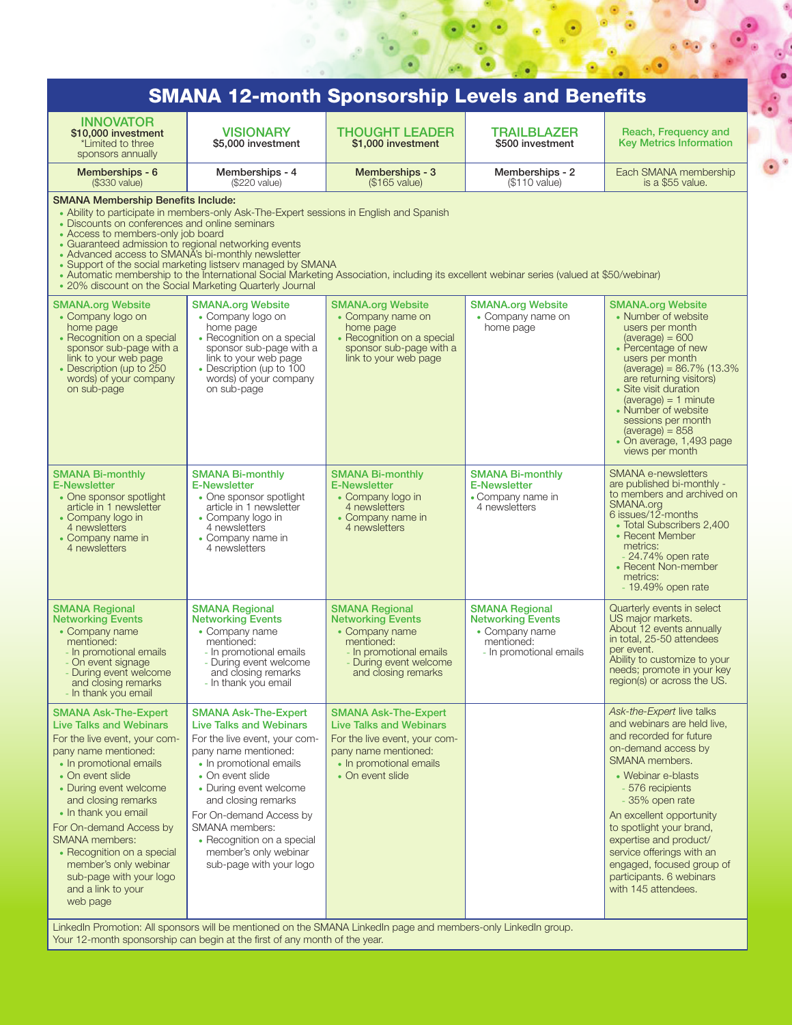| <b>SMANA 12-month Sponsorship Levels and Benefits</b>                                                                                                                                                                                                                                                                                                                                                                  |                                                                                                                                                                                                                                                                                                                                                       |                                                                                                                                                                       |                                                                                                              |                                                                                                                                                                                                                                                                                                                                                                                          |
|------------------------------------------------------------------------------------------------------------------------------------------------------------------------------------------------------------------------------------------------------------------------------------------------------------------------------------------------------------------------------------------------------------------------|-------------------------------------------------------------------------------------------------------------------------------------------------------------------------------------------------------------------------------------------------------------------------------------------------------------------------------------------------------|-----------------------------------------------------------------------------------------------------------------------------------------------------------------------|--------------------------------------------------------------------------------------------------------------|------------------------------------------------------------------------------------------------------------------------------------------------------------------------------------------------------------------------------------------------------------------------------------------------------------------------------------------------------------------------------------------|
| <b>INNOVATOR</b><br>\$10,000 investment<br>*Limited to three<br>sponsors annually                                                                                                                                                                                                                                                                                                                                      | <b>VISIONARY</b><br>\$5,000 investment                                                                                                                                                                                                                                                                                                                | <b>THOUGHT LEADER</b><br>\$1,000 investment                                                                                                                           | <b>TRAILBLAZER</b><br>\$500 investment                                                                       | Reach, Frequency and<br><b>Key Metrics Information</b>                                                                                                                                                                                                                                                                                                                                   |
| Memberships - 6<br>(\$330 value)                                                                                                                                                                                                                                                                                                                                                                                       | Memberships - 4<br>(\$220 value)                                                                                                                                                                                                                                                                                                                      | Memberships - 3<br>(\$165 value)                                                                                                                                      | Memberships - 2<br>(\$110 value)                                                                             | Each SMANA membership<br>is a \$55 value.                                                                                                                                                                                                                                                                                                                                                |
| <b>SMANA Membership Benefits Include:</b><br>• Discounts on conferences and online seminars<br>• Access to members-only job board<br>• Guaranteed admission to regional networking events<br>• Advanced access to SMANA's bi-monthly newsletter                                                                                                                                                                        | • Ability to participate in members-only Ask-The-Expert sessions in English and Spanish<br>• Support of the social marketing listserv managed by SMANA<br>• 20% discount on the Social Marketing Quarterly Journal                                                                                                                                    | • Automatic membership to the International Social Marketing Association, including its excellent webinar series (valued at \$50/webinar)                             |                                                                                                              |                                                                                                                                                                                                                                                                                                                                                                                          |
| <b>SMANA.org Website</b><br>• Company logo on<br>home page<br>• Recognition on a special<br>sponsor sub-page with a<br>link to your web page<br>• Description (up to 250<br>words) of your company<br>on sub-page                                                                                                                                                                                                      | <b>SMANA.org Website</b><br>• Company logo on<br>home page<br>• Recognition on a special<br>sponsor sub-page with a<br>link to your web page<br>• Description (up to 100<br>words) of your company<br>on sub-page                                                                                                                                     | <b>SMANA.org Website</b><br>• Company name on<br>home page<br>• Recognition on a special<br>sponsor sub-page with a<br>link to your web page                          | <b>SMANA.org Website</b><br>• Company name on<br>home page                                                   | <b>SMANA.org Website</b><br>• Number of website<br>users per month<br>$(average) = 600$<br>• Percentage of new<br>users per month<br>(average) = $86.7\%$ (13.3%)<br>are returning visitors)<br>• Site visit duration<br>$(average) = 1$ minute<br>• Number of website<br>sessions per month<br>$(average) = 858$<br>• On average, 1,493 page<br>views per month                         |
| <b>SMANA Bi-monthly</b><br><b>E-Newsletter</b><br>• One sponsor spotlight<br>article in 1 newsletter<br>• Company logo in<br>4 newsletters<br>• Company name in<br>4 newsletters                                                                                                                                                                                                                                       | <b>SMANA Bi-monthly</b><br><b>E-Newsletter</b><br>• One sponsor spotlight<br>article in 1 newsletter<br>• Company logo in<br>4 newsletters<br>• Company name in<br>4 newsletters                                                                                                                                                                      | <b>SMANA Bi-monthly</b><br><b>E-Newsletter</b><br>• Company logo in<br>4 newsletters<br>• Company name in<br>4 newsletters                                            | <b>SMANA Bi-monthly</b><br><b>E-Newsletter</b><br>• Company name in<br>4 newsletters                         | <b>SMANA e-newsletters</b><br>are published bi-monthly -<br>to members and archived on<br>SMANA.org<br>$6$ issues/12-months<br>• Total Subscribers 2,400<br>• Recent Member<br>metrics:<br>$-24.74\%$ open rate<br>• Recent Non-member<br>metrics:<br>- 19.49% open rate                                                                                                                 |
| <b>SMANA Regional</b><br><b>Networking Events</b><br>• Company name<br>mentioned:<br>- In promotional emails<br>- On event signage<br>- During event welcome<br>and closing remarks<br>- In thank you email                                                                                                                                                                                                            | <b>SMANA Regional</b><br><b>Networking Events</b><br>• Company name<br>mentioned:<br>- In promotional emails<br>- During event welcome<br>and closing remarks<br>- In thank you email                                                                                                                                                                 | <b>SMANA Regional</b><br><b>Networking Events</b><br>• Company name<br>mentioned:<br>- In promotional emails<br>- During event welcome<br>and closing remarks         | <b>SMANA Regional</b><br><b>Networking Events</b><br>• Company name<br>mentioned:<br>- In promotional emails | Quarterly events in select<br>US major markets.<br>About 12 events annually<br>in total, 25-50 attendees<br>per event.<br>Ability to customize to your<br>needs; promote in your key<br>region(s) or across the US.                                                                                                                                                                      |
| <b>SMANA Ask-The-Expert</b><br><b>Live Talks and Webinars</b><br>For the live event, your com-<br>pany name mentioned:<br>• In promotional emails<br>• On event slide<br>• During event welcome<br>and closing remarks<br>• In thank you email<br>For On-demand Access by<br><b>SMANA</b> members:<br>• Recognition on a special<br>member's only webinar<br>sub-page with your logo<br>and a link to your<br>web page | <b>SMANA Ask-The-Expert</b><br><b>Live Talks and Webinars</b><br>For the live event, your com-<br>pany name mentioned:<br>• In promotional emails<br>• On event slide<br>• During event welcome<br>and closing remarks<br>For On-demand Access by<br>SMANA members:<br>• Recognition on a special<br>member's only webinar<br>sub-page with your logo | <b>SMANA Ask-The-Expert</b><br><b>Live Talks and Webinars</b><br>For the live event, your com-<br>pany name mentioned:<br>• In promotional emails<br>• On event slide |                                                                                                              | Ask-the-Expert live talks<br>and webinars are held live,<br>and recorded for future<br>on-demand access by<br>SMANA members.<br>• Webinar e-blasts<br>- 576 recipients<br>- 35% open rate<br>An excellent opportunity<br>to spotlight your brand,<br>expertise and product/<br>service offerings with an<br>engaged, focused group of<br>participants. 6 webinars<br>with 145 attendees. |

 $\frac{1}{2}$ 

ő

LinkedIn Promotion: All sponsors will be mentioned on the SMANA LinkedIn page and members-only LinkedIn group. Your 12-month sponsorship can begin at the first of any month of the year.